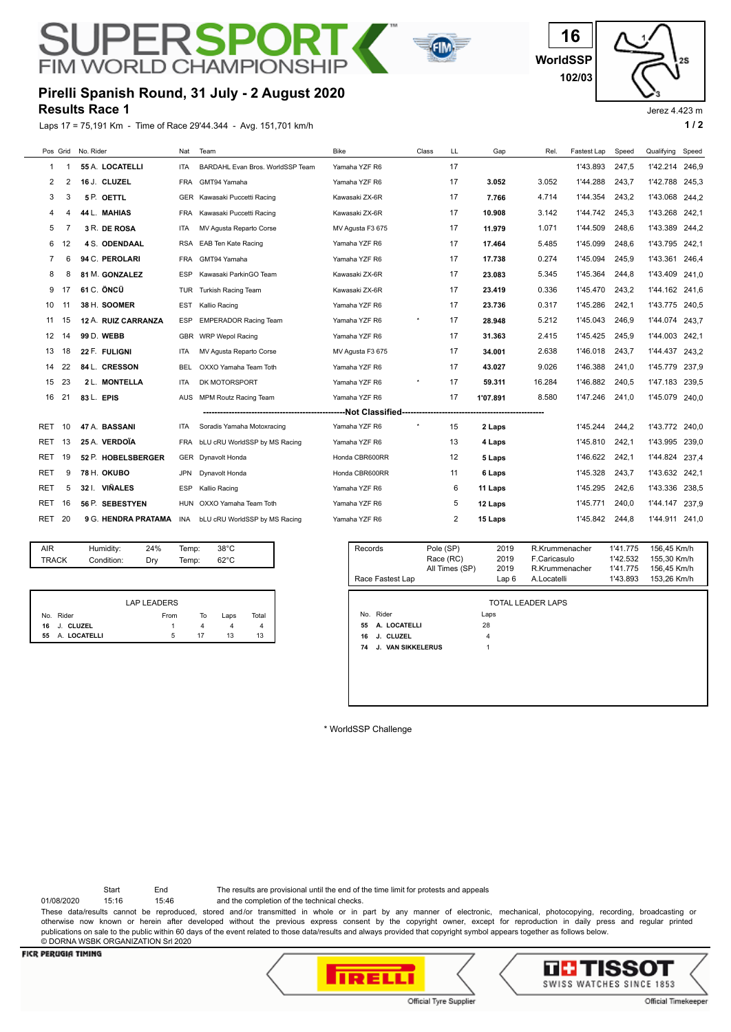# SUPERSPORT **FIM WORLD CHAMPIONSK**



**WorldSSP 16 102/03**

Jerez 4.423 m

25

#### **Results Race 1 Pirelli Spanish Round, 31 July - 2 August 2020**

Laps 17 = 75,191 Km - Time of Race 29'44.344 - Avg. 151,701 km/h **1 / 2**



| <b>AIR</b> | Humidity:  | 24% | Temp: | 38°C           |  |
|------------|------------|-----|-------|----------------|--|
| TRACK      | Condition: | Drv | Temp: | $62^{\circ}$ C |  |
|            |            |     |       |                |  |

|                    | LAP LEADERS |    |      |       |
|--------------------|-------------|----|------|-------|
| No. Rider          | From        | То | Laps | Total |
| 16 J. CLUZEL       |             |    |      |       |
| A. LOCATELLI<br>55 | 5           | 17 | 13   | 13    |

| Records | Race Fastest Lap         | Pole (SP)<br>Race (RC)<br>All Times (SP) | 2019<br>2019<br>2019<br>Lap6 | R.Krummenacher<br>F.Caricasulo<br>R.Krummenacher<br>A.Locatelli | 1'41.775<br>1'42.532<br>1'41.775<br>1'43.893 | 156,45 Km/h<br>155,30 Km/h<br>156,45 Km/h<br>153,26 Km/h |
|---------|--------------------------|------------------------------------------|------------------------------|-----------------------------------------------------------------|----------------------------------------------|----------------------------------------------------------|
|         |                          |                                          |                              |                                                                 |                                              |                                                          |
|         |                          |                                          |                              | <b>TOTAL LEADER LAPS</b>                                        |                                              |                                                          |
|         | No. Rider                |                                          | Laps                         |                                                                 |                                              |                                                          |
| 55      | A. LOCATELLI             |                                          | 28                           |                                                                 |                                              |                                                          |
| 16      | J. CLUZEL                |                                          | 4                            |                                                                 |                                              |                                                          |
| 74      | <b>J. VAN SIKKELERUS</b> |                                          |                              |                                                                 |                                              |                                                          |
|         |                          |                                          |                              |                                                                 |                                              |                                                          |
|         |                          |                                          |                              |                                                                 |                                              |                                                          |
|         |                          |                                          |                              |                                                                 |                                              |                                                          |
|         |                          |                                          |                              |                                                                 |                                              |                                                          |
|         |                          |                                          |                              |                                                                 |                                              |                                                          |

\* WorldSSP Challenge

Start End The results are provisional until the end of the time limit for protests and appeals

01/08/2020 15:16 15:46 and the completion of the technical checks. These data/results cannot be reproduced, stored and/or transmitted in whole or in part by any manner of electronic, mechanical, photocopying, recording, broadcasting or

otherwise now known or herein after developed without the previous express consent by the copyright owner, except for reproduction in daily press and regular printed publications on sale to the public within 60 days of the event related to those data/results and always provided that copyright symbol appears together as follows below. © DORNA WSBK ORGANIZATION Srl 2020

#### **FICR PERUGIA TIMING**





Official Timekeeper